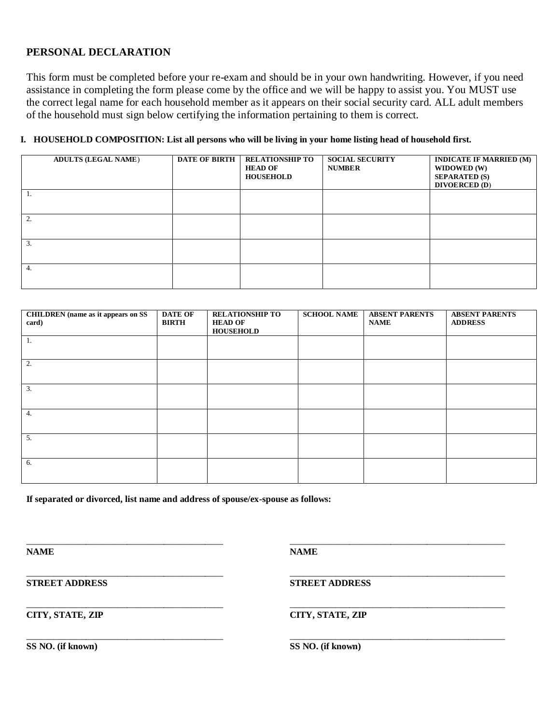## **PERSONAL DECLARATION**

This form must be completed before your re-exam and should be in your own handwriting. However, if you need assistance in completing the form please come by the office and we will be happy to assist you. You MUST use the correct legal name for each household member as it appears on their social security card. ALL adult members of the household must sign below certifying the information pertaining to them is correct.

## **I. HOUSEHOLD COMPOSITION: List all persons who will be living in your home listing head of household first.**

|    | <b>ADULTS (LEGAL NAME)</b> | <b>DATE OF BIRTH</b> | <b>RELATIONSHIP TO</b><br><b>HEAD OF</b><br><b>HOUSEHOLD</b> | <b>SOCIAL SECURITY</b><br><b>NUMBER</b> | <b>INDICATE IF MARRIED (M)</b><br>WIDOWED (W)<br><b>SEPARATED (S)</b><br><b>DIVOERCED (D)</b> |
|----|----------------------------|----------------------|--------------------------------------------------------------|-----------------------------------------|-----------------------------------------------------------------------------------------------|
| Ι. |                            |                      |                                                              |                                         |                                                                                               |
| 2. |                            |                      |                                                              |                                         |                                                                                               |
| 3. |                            |                      |                                                              |                                         |                                                                                               |
| 4. |                            |                      |                                                              |                                         |                                                                                               |

| <b>CHILDREN</b> (name as it appears on SS<br>card) | <b>DATE OF</b><br><b>BIRTH</b> | <b>RELATIONSHIP TO</b><br><b>HEAD OF</b><br><b>HOUSEHOLD</b> | <b>SCHOOL NAME</b> | <b>ABSENT PARENTS</b><br><b>NAME</b> | <b>ABSENT PARENTS</b><br><b>ADDRESS</b> |
|----------------------------------------------------|--------------------------------|--------------------------------------------------------------|--------------------|--------------------------------------|-----------------------------------------|
| -1.                                                |                                |                                                              |                    |                                      |                                         |
| 2.                                                 |                                |                                                              |                    |                                      |                                         |
| 3.                                                 |                                |                                                              |                    |                                      |                                         |
| 4.                                                 |                                |                                                              |                    |                                      |                                         |
| 5.                                                 |                                |                                                              |                    |                                      |                                         |
| 6.                                                 |                                |                                                              |                    |                                      |                                         |

\_\_\_\_\_\_\_\_\_\_\_\_\_\_\_\_\_\_\_\_\_\_\_\_\_\_\_\_\_\_\_\_\_\_\_\_\_\_\_\_\_\_\_ \_\_\_\_\_\_\_\_\_\_\_\_\_\_\_\_\_\_\_\_\_\_\_\_\_\_\_\_\_\_\_\_\_\_\_\_\_\_\_\_\_\_\_\_\_\_\_

\_\_\_\_\_\_\_\_\_\_\_\_\_\_\_\_\_\_\_\_\_\_\_\_\_\_\_\_\_\_\_\_\_\_\_\_\_\_\_\_\_\_\_ \_\_\_\_\_\_\_\_\_\_\_\_\_\_\_\_\_\_\_\_\_\_\_\_\_\_\_\_\_\_\_\_\_\_\_\_\_\_\_\_\_\_\_\_\_\_\_

**If separated or divorced, list name and address of spouse/ex-spouse as follows:**

**NAME NAME**

\_\_\_\_\_\_\_\_\_\_\_\_\_\_\_\_\_\_\_\_\_\_\_\_\_\_\_\_\_\_\_\_\_\_\_\_\_\_\_\_\_\_\_ \_\_\_\_\_\_\_\_\_\_\_\_\_\_\_\_\_\_\_\_\_\_\_\_\_\_\_\_\_\_\_\_\_\_\_\_\_\_\_\_\_\_\_\_\_\_\_ **STREET ADDRESS STREET ADDRESS**

\_\_\_\_\_\_\_\_\_\_\_\_\_\_\_\_\_\_\_\_\_\_\_\_\_\_\_\_\_\_\_\_\_\_\_\_\_\_\_\_\_\_\_ \_\_\_\_\_\_\_\_\_\_\_\_\_\_\_\_\_\_\_\_\_\_\_\_\_\_\_\_\_\_\_\_\_\_\_\_\_\_\_\_\_\_\_\_\_\_\_ **CITY, STATE, ZIP CITY, STATE, ZIP**

**SS NO. (if known) SS NO. (if known)**